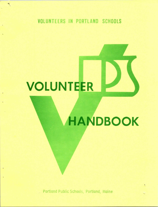### VOLUNTEERS IN PORTLAND SCHOOLS

# VOLUNTEER

## **HANDBOOK**

Portland Public Schools, Portland, Maine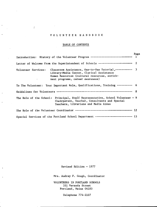#### V O L U N T E E R H A N D B O O K

 $\sim$ 

 $\int$ 

 $\ddot{\phantom{a}}$ 

 $\ddot{\phantom{a}}$ 

÷.

#### TABLE OF CONTENTS

| Introduction: History of the Volunteer Program ---------------------------- 1                                                                                                                                    | Page |
|------------------------------------------------------------------------------------------------------------------------------------------------------------------------------------------------------------------|------|
| Letter of Welcome from the Superintendent of Schools ----------------------- 2                                                                                                                                   |      |
| Classroom Assistance, One-to-One Tutorial, ----------- 3<br>Volunteer Services:<br>Library-Media Center, Clerical Assistance<br>Human Resources (cultural resources, enrich-<br>ment programs, career awareness) |      |
| To The Volunteer: Your Important Role, Qualifications, Training ---------- 6                                                                                                                                     |      |
|                                                                                                                                                                                                                  |      |
| The Role of the School: Principal, Staff Representative, School Volunteer - 9<br>Chairperson, Teacher, Consultants and Special<br>Teachers, Librarians and Media Aides                                           |      |
|                                                                                                                                                                                                                  |      |
| Special Services of the Portland School Department ------------------------- 13                                                                                                                                  |      |

Revised Edition - 1977

Mrs. Audrey F. Gough, Coordinator

VOLUNTEERS IN PORTLAND SCHOOLS 331 Veranda Street Portland, Maine 04103

Telephone 774-2107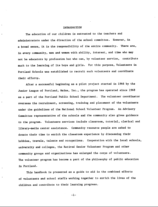#### INTRODUCTION

The education of our children is entrusted to the teachers and administrators under the direction of the school committee. However, in a broad sense, it is the responsibility of the entire community. There are, in every community, men and women with ability, interest, and time who may not be educators by profession but who can, by volunteer service, contribute much to the learning of its boys and girls. For this purpose, Volunteers in Portland Schools was established to recruit such volunteers and coordinate their efforts.

After a successful beginning as a pilot project started in 1966 by the Junior League of Portland, Maine, Inc., the program has operated since 1968 as a part of the Portland Public School Department. The volunteer coordinator oversees the recruitment, screening, training and placement of the volunteers under the guidelines of the National School Volunteer Program. An Advisory Committee representative of the schools and the community also gives guidance to the program. Volunteers services include classroom, tutorial, clerical and library-media center assistance. Community resource people are asked to donate their time to enrich the classroom experience by discussing their hobbies, travels, talents and occupations. Cooperation with the local schools, university and colleges, the Retired Senior Volunteer Program and other community groups and organizations has enlarged the corps of volunteers. The volunteer program has become a part of the philosophy of public education in Portland.

This handbook is presented as a guide to aid in the combined efforts of volunteers and school staffs working together to enrich the lives of the children and contribute to their learning progress.

-1-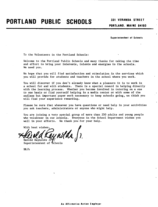**331 VERANDA STREET PORTLAND. MAINE 04103** 

**Superintendent of Schools** 

To the Volunteers in the Portland Schools:

Welcome to the Portland Public Schools and many thanks for taking the time and effort to bring your interests, talents and energies to the schools, We need you.

We hope that you will find satisfaction and stimulation in the services which you will provide for students and teachers in the school where you work.

You will discover if you don't already know what a pleasure it is to work in a school for and with students. There is a special reward in helping directly with the learning process. Whether you become involved in tutoring on a one to one basis or find yourself helping in a media center or with some of the endless but important paper work necessary to keep schools going, we think you will find your experience rewarding.

Please be sure that whenever you have questions or need help in your activities you ask teachers, administrators or anyone who might help.

You are joining a very special group of more than 250 adults and young people who volunteer in our schools. Everyone in the School Department wishes you well in your efforts. We thank you for your help.

With best wishes,<br>Harold Raynolds Jr, Motha J. *}.* 

Superintendent of Schools

HR/h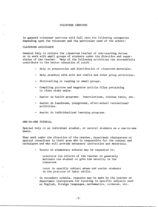#### VOLUNTEER SERVICES

In general volunteer services will fall into the following categories depending upon the volunteer and the particular need of the school:

#### CLASSROOM ASSISTANCE

General help to relieve the classroom teacher of non-teaching duties or to work with small groups of students under the direction and supervision of the teacher. Many of the following activities can successfully contribute to the better education of youth.

- Help in preparation and distribution of classroom materials.
- Help students with arts and crafts and other group activities.
- Storytelling or reading to small groups.
- Compiling picture and magazine article files pertaining to class study units.
- Assist in health programs: innoculations, visions tests, etc.
- Assist in lunchroom, playground, after-school recreational activities.
- Assist in individualized learning programs.

#### ONE-TO-ONE TUTORIAL

Special help to an individual student, or several students on a one-to-one basis.

They work under the direction of the teacher, department chairperson or special consultant in their area who is responsible for the content and techniques and who will provide necessary instruction and materials.

- Tutors in elementary schools may be requested to:

reinforce the efforts of the teacher to-generally motivate the student or give him security in the **classroom** 

tutor in specific subject areas and assist students in the practice of basic skills.

- In secondary schools, requests may be made by the teacher or department chairperson for tutoring in specific subjects such as English, Foreign languages, mathematics, sciences, etc.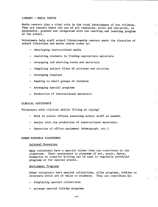#### LIBRARY - MEDIA CENTER

Media centers play a vital role in the total development of our children. They are centers where the use of all resources, print and non-print, is purposeful, planned and integrated with the teaching and learning program of the school.

Volunteers help staff school library-media centers under the direction of school librarians and media center aides by:

- Cataloging instructional media
- Assisting students in finding appropriate materials
- Arranging and shelving books and materials
- Compiling subject files of pictures and articles
- Arranging displays
- Reading to small groups of children
- Arranging special programs
- Production of instructional materials

#### CLERICAL ASSISTANCE

Volunteers with clerical skills (filing or typing)

- Work in school offices assisting school staff as needed.
- Assist with the production of instructional materials.
- Operation of office equipment (mimeograph, etc.)

#### HUMAN RESOURCE VOLUNTEERS

#### Cultural Resources

Many volunteers have a special talent they can contribute to the classroom. Their assistance in programs of art, music, dance, dramatics or creative writing can be used in regularly scheduled programs or for special events.

#### Enrichment Programs

Other volunteers have special collections, slide programs, hobbies or interests which are of value to students. They can contribute by:

- displaying special collections
- arrange special holiday programs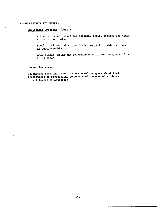#### **HUMAN** RESOURCE VOLUNTEERS

Enrichment Programs (Cont.)

- act as resource people for science, social studies and other units in curriculum
- speak to classes about particular subject in which volunteer is knowledgeable
- show slides, films and souvenirs such as costumes, etc. from trips taken

#### Career Awareness

Volunteers from the community are asked to speak about their occupations or professions to groups of interested students at all levels of education.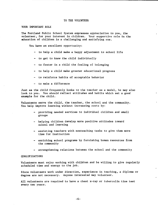#### TO THE VOLUNTEER

#### YOUR IMPORTANT ROLE

The Portland Public School System expresses appreciation to you, the volunteer, for your interest in children. Your supportive role in the education of children is a challenging and satisfying one.

You have an excellent opportunity:

- to help a child make a happy adjustment to school life
- to get to know the child individually
- to foster in a child the feeling of belonging
- to help a child make greater educational progress
- to reinforce habits of acceptable behavior
- to make a difference

Just as the child frequently looks to the teacher as a model, he may also look to you. You should reflect attitudes and habits which set a good example for the child.

Volunteers serve the child, the teacher, the school and the community. You help improve learning without increasing costs by:

- providing needed services to individual children and small groups
- helping children develop more positive attitudes toward school and learning
- assisting teachers with nonteaching tasks to give them more time for instruction
- enriching school programs by furnishing human resources from the community
- strengthening relations between the school and the community

#### QUALIFICATIONS

Volunteers must enjoy working with children and be willing to give regularly scheduled time and energy to the job.

Since volunteers work under direction, experience in teaching, a diploma or degree are not necessary. Anyone interested may volunteer.

All volunteers are required to have a chest x-ray or tuberculin tine test every two years.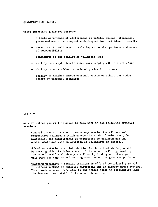#### QUALIFICATIONS (cont.)

Other important qualities include:

- a basic acceptance of differences in people, values, standards, goals and ambitions coupled with respect for individual integrity
- warmth and friendliness in relating to people, patience and sense of responsibility
- commitment to the concept of volunteer work
- ability to accept direction and work happily within a structure
- ability to work without continued praise from others
- ability to neither impose personal values on others nor judge others by personal standards

#### TRAINING

As a volunteer you will be asked to take part in the following training sessions:

General orientation - an introductory session for all new and prospective volunteers which covers the kinds of volunteer jobs available, the relationship of volunteers to children and the school staff and what is expected of volunteers in general.

School orientation - an introduction to the school where you will be working which includes a tour of the school building, meeting the school staff with whom you will work, finding out where you will work and sign in and hearing about school program and policies.

Training workshops - special training is offered periodically to all volunteers working in tutorial situations and in library-media centers. These workshops are conducted by the school staff in cooperation with the instructional staff of the school department.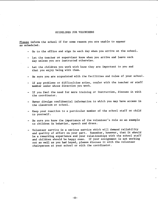#### GUIDELINES FOR VOLUNTEERS

Please inform the school if for some reason you are unable to appear as scheduled.

- Go to the office and sign in each day when you arrive at the school.
- Let the teacher or supervisor know when you arrive and leave each day unless you are instructed otherwise.
- Let the children you work with know they are important to you and that you enjoy being with them.
- Be sure you are acquainted with the facilities and rules of your school.
- If any problems or difficulties arise, confer with the teacher or staff member under whose direction you work.
- If you feel the need for more training or instruction, discuss it with the coordinator.
- Never divulge confidential information to which you may have access in the classroom or school.
- Keep your reaction to a particular member of the school staff or child to yourself.
- Be sure you know the importance of the volunteer's role as an example to children in behavior, speech and dress.
- Volunteer service is a serious service which will demand reliability and quality of effort on your part. Remember, however, that it should be a rewarding experience and your relationships with the school staff and children should be happy ones. If your assignment is not working out as well as you had hoped, please discuss it with the volunteer chairperson at your school or with the coordinator.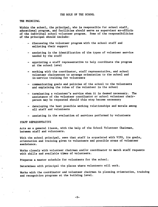#### THE PRINCIPAL

Within the school, the principal, who is responsible for school staff, educational program, and facilities should serve as supervisor ex-officio of the individual school volunteer program. Some of the responsibilities of the principal should include:

- discussing the volunteer program with the school staff and enlisting their support
- assisting in the identification of the types of volunteer service needed by the staff
- appointing a staff representative to help coordinate the program at the school level
- working with the coordinator, staff representative, and school volunteer chairperson to arrange orientation to the school and in-service training for volunteers
- communicating goals and policies of the school to the volunteers and explaining the roles of the volunteer in the school
- terminating a volunteer's service when it is deemed necessary. The assistance of the volunteer coordinator or school volunteer chairperson may be requested should this step become necessary
- developing the best possible working relationships and morale among all staff and volunteers
- assisting in the evaluation of services performed by volunteers

#### STAFF REPRESENTATIVE

Acts as a general liason, with the help of the School Volunteer Chairman, between staff and volunteers.

With the school principal, sees that staff is acquainted with VIPS, its goals, orientation and training given to volunteers and possible areas of volunteer assistance.

Works closely with volunteer chairman and/or coordinator to match staff requests with skills and available times of volunteers.

Prepares a master schedule for volunteers for the school.

Determines with principal the places where volunteers will work.

Works with the coordinator and volunteer chairman in planning orientation, training and recognition programs at the building level.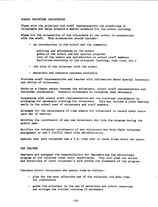#### SCHOOL VOLUNTEER CHAIRPERSON

Plans with the principal and staff representative the scheduling of volunteers and helps prepare a master schedule for the school building.

Plans for the orientation of the volunteers at the school in cooperation with the staff. This orientation should include:

- an introduction to the school and the community

policies and procedures of the school **goals** of the school and any special programs tour of the school and introduction to school staff members facilities available to the volunteer (parking, rest room, etc,)

the role of the volunteer with the school

materials and resource teachers available

Provides staff representative and teacher with information about special interests and skills of volunteers.

Works as a liason person between the volunteers, school staff representative and volunteer coordinator. Contacts volunteers by telephone when necessary.

Cooperates with school staff representative and the volunteer coordinator in arranging for necessary training for volunteers. This may include a joint meeting early in the school year of volunteers and staff members.

Arranges for the maintenance of time sheets for volunteers to record their hours each day of service.

Notifies the coordinator of any new volunteers who join the program during the school year.

Notifies the volunteer coordinator of any volunteers who drop their volunteer assignment or don't fulfill their role satisfactorily.

Assures that each volunteer has a T.B. tine test or chest x-ray every two years.

THE TEACHER

Teachers are assigned the responsibility for implementing the educational program of the children under their supervision. They will plan the duties and directions of their volunteer's work within the framework of the program.

Teachers direct volunteers who assist them as follows:

- plan for the most effective use of the volunteer and make time for conferences
- guide the volunteer in the use of materials and school resources and arrange the further training if necessary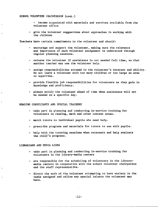#### SCHOOL VOLUNTEER CHAIRPERSON (cont.)

become acquainted with materials and services available from the volunteer office

- give the volunteer suggestions about approaches in working with the children

Teachers have certain commitments to the volunteer and should:

- encourage and support the volunteer, making sure the relevance and importance of each volunteer assignment is understood through regular planning sessions.
- release the volunteer if assistance is not needed full time, so that another teacher may use the volunteer help.
- assign responsibilities attuned to the volunteer's interest and ability. Do not leave a volunteer with too many children or too large an area to supervise.
- provide flexible job responsibilities for volunteers as they gain in knowledge and proficiency.
- always notify the volunteer ahead of time when assistance will not be needed on a specific day.

#### READING CONSULTANTS AND SPECIAL TEACHERS

- take part in planning and conducting in-service training for volunteers in reading, math and other content areas.
- match tutors to individual pupils who need help.
- prescribe programs and materials for tutors to use with pupils.
- help with the tutoring sessions when necessary and help evaluate the child's progress.

#### **LIBRARIANS** AND MEDIA AIDES

- take part in planning and conducting in-service training for volunteers in the library-media centers
- are responsible for the scheduling of volunteers in the librarymedia centers in cooperation with the school volunteer chairperson and the staff representative.
- direct the work of the volunteer attempting to have variety in the tasks assigned and utlize any special talents the volunteer may have.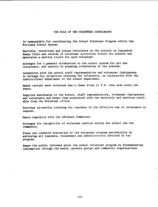#### THE ROLE OF THE VOLUNTEER COORDINATOR

Is responsible for coordinating the School Volunteer Program within the Portland School System.

Recruits, interviews and places volunteers in the schools as requested. Keeps files and records of volunteer activities within the schools and maintains a service record for each volunteer.

Arranges. for a general orientation to the school system for all new volunteers, and assists in planning orientation at the schools.

Cooperates with the school staff representative and volunteer chairperson to arrange for in-service training for volunteers, in conjunction with the instructional department of the school department.

Makes certain each volunteer has a chest x-ray or T.B. tine test every two **years.** 

Supplies assistance to the school, staff representative, volunteer chairperson and volunteers and keeps them acquainted with new materials and services available from the Volunteer office.

Provides in-service training for teachers in the effective use of volunteers on request.

Meets regularly with the Advisory Committee.

**Arranges** for recognition of volunteer service within the school and the community.

**Plans** and conducts evaluation of the volunteer program periodically by **surveying** all teachers, volunteers and administrators involved in the program.

**Keeps** the public informed about the school volunteer program by disseminating information through the media, parents groups and community organizations.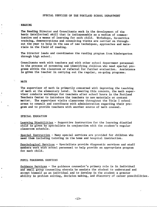#### , READING

The Reading Director and Consultants work in the development of the basic intellectual skill that is indispensable as a medium of communication and a means of learning for each child, Workshops, in-service training, demonstrations and consulting visits are carried on throughout the year to help in the use of new techniques, approaches and materials in the field of reading,

The Director leads and coordinates the reading program from kindergarten through high school,

Consultants work with teachers and with other school department personnel in the process of screening and identifying children who need special programs within the classroom or referral for further evaluation. Assistance **is given** the teacher in carrying out the regular, on-going programs.

#### MATH

The supervisor of math is primarily concerned with improving the teaching of math at the elementary level. In meeting this concern, the math supervisor conducts workshops for teachers after school hours in the Portland Teachers Center to introduce the teachers to new materials or content matter. The supervisor visits classrooms throughout the Title I school areas to consult and coordinate with administration regarding their program and to provide teachers with another source of math counsel.

#### SPECIAL EDUCATION

Learning Disabilities - Supportive instruction for the learning disabled child is given by specialists in conjunction with the student's regular classroom schedule,

Special Instruction - Many special services are provided for children who need them including tutoring in the home and hospital instruction.

Psychological Services - Specialists provide diagnostic services and staff members work with school personnel to help provide an appropriate program for each child.

#### PUPIL PERSONNEL SERVICES

Guidance Services - The guidance counselor's primary role is in individual and small group counseling wherein he assists the student to understand and accept himself as an individual and to develop in the student a greater ability in problem solving, decision making, and discovery of career possibilities.